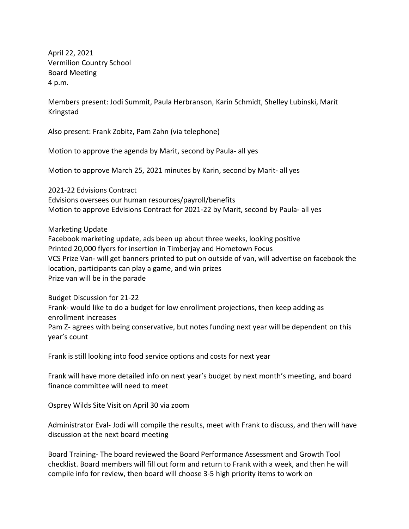April 22, 2021 Vermilion Country School Board Meeting 4 p.m.

Members present: Jodi Summit, Paula Herbranson, Karin Schmidt, Shelley Lubinski, Marit Kringstad

Also present: Frank Zobitz, Pam Zahn (via telephone)

Motion to approve the agenda by Marit, second by Paula- all yes

Motion to approve March 25, 2021 minutes by Karin, second by Marit- all yes

2021-22 Edvisions Contract Edvisions oversees our human resources/payroll/benefits Motion to approve Edvisions Contract for 2021-22 by Marit, second by Paula- all yes

Marketing Update

Facebook marketing update, ads been up about three weeks, looking positive Printed 20,000 flyers for insertion in Timberjay and Hometown Focus VCS Prize Van- will get banners printed to put on outside of van, will advertise on facebook the location, participants can play a game, and win prizes Prize van will be in the parade

Budget Discussion for 21-22 Frank- would like to do a budget for low enrollment projections, then keep adding as enrollment increases Pam Z- agrees with being conservative, but notes funding next year will be dependent on this year's count

Frank is still looking into food service options and costs for next year

Frank will have more detailed info on next year's budget by next month's meeting, and board finance committee will need to meet

Osprey Wilds Site Visit on April 30 via zoom

Administrator Eval- Jodi will compile the results, meet with Frank to discuss, and then will have discussion at the next board meeting

Board Training- The board reviewed the Board Performance Assessment and Growth Tool checklist. Board members will fill out form and return to Frank with a week, and then he will compile info for review, then board will choose 3-5 high priority items to work on